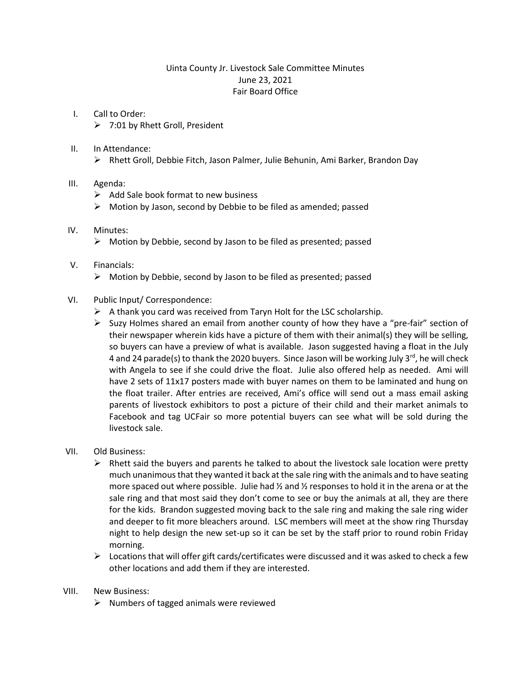# Uinta County Jr. Livestock Sale Committee Minutes June 23, 2021 Fair Board Office

- I. Call to Order: 7:01 by Rhett Groll, President
- II. In Attendance:
	- Rhett Groll, Debbie Fitch, Jason Palmer, Julie Behunin, Ami Barker, Brandon Day

## III. Agenda:

- $\triangleright$  Add Sale book format to new business
- $\triangleright$  Motion by Jason, second by Debbie to be filed as amended; passed

## IV. Minutes:

 $\triangleright$  Motion by Debbie, second by Jason to be filed as presented; passed

### V. Financials:

- $\triangleright$  Motion by Debbie, second by Jason to be filed as presented; passed
- VI. Public Input/ Correspondence:
	- $\triangleright$  A thank you card was received from Taryn Holt for the LSC scholarship.
	- $\triangleright$  Suzy Holmes shared an email from another county of how they have a "pre-fair" section of their newspaper wherein kids have a picture of them with their animal(s) they will be selling, so buyers can have a preview of what is available. Jason suggested having a float in the July 4 and 24 parade(s) to thank the 2020 buyers. Since Jason will be working July  $3^{rd}$ , he will check with Angela to see if she could drive the float. Julie also offered help as needed. Ami will have 2 sets of 11x17 posters made with buyer names on them to be laminated and hung on the float trailer. After entries are received, Ami's office will send out a mass email asking parents of livestock exhibitors to post a picture of their child and their market animals to Facebook and tag UCFair so more potential buyers can see what will be sold during the livestock sale.

## VII. Old Business:

- $\triangleright$  Rhett said the buyers and parents he talked to about the livestock sale location were pretty much unanimous that they wanted it back at the sale ring with the animals and to have seating more spaced out where possible. Julie had  $\frac{1}{2}$  and  $\frac{1}{2}$  responses to hold it in the arena or at the sale ring and that most said they don't come to see or buy the animals at all, they are there for the kids. Brandon suggested moving back to the sale ring and making the sale ring wider and deeper to fit more bleachers around. LSC members will meet at the show ring Thursday night to help design the new set-up so it can be set by the staff prior to round robin Friday morning.
- $\triangleright$  Locations that will offer gift cards/certificates were discussed and it was asked to check a few other locations and add them if they are interested.

## VIII. New Business:

 $\triangleright$  Numbers of tagged animals were reviewed